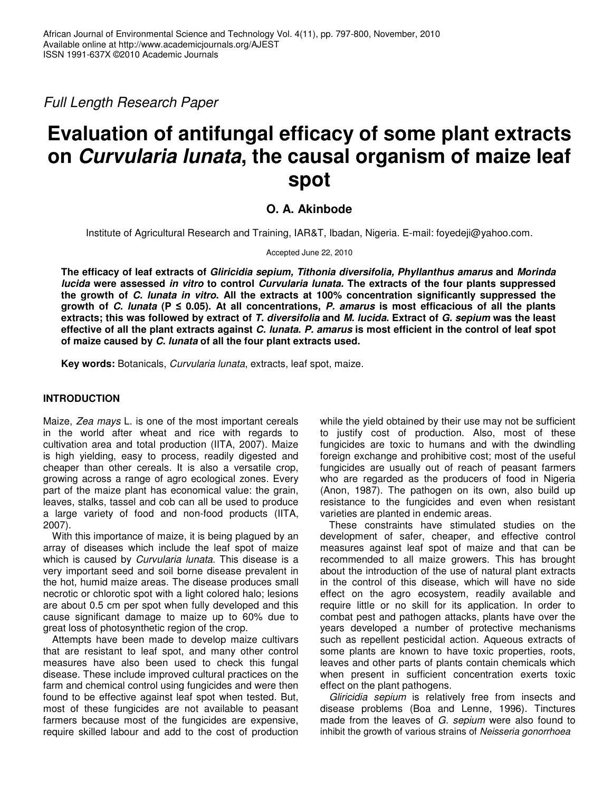*Full Length Research Paper*

# **Evaluation of antifungal efficacy of some plant extracts on** *Curvularia lunata***, the causal organism of maize leaf spot**

## **O. A. Akinbode**

Institute of Agricultural Research and Training, IAR&T, Ibadan, Nigeria. E-mail: foyedeji@yahoo.com.

Accepted June 22, 2010

**The efficacy of leaf extracts of** *Gliricidia sepium, Tithonia diversifolia, Phyllanthus amarus* **and** *Morinda lucida* **were assessed** *in vitro* **to control** *Curvularia lunata.* **The extracts of the four plants suppressed the growth of** *C. lunata in vitro***. All the extracts at 100% concentration significantly suppressed the** growth of C. lunata ( $P \le 0.05$ ). At all concentrations, P. amarus is most efficacious of all the plants extracts; this was followed by extract of T. diversifolia and M. lucida. Extract of G. sepium was the least effective of all the plant extracts against C. lunata. P. amarus is most efficient in the control of leaf spot **of maize caused by** *C. lunata* **of all the four plant extracts used.**

**Key words:** Botanicals, *Curvularia lunata*, extracts, leaf spot, maize.

## **INTRODUCTION**

Maize, *Zea mays* L. is one of the most important cereals in the world after wheat and rice with regards to cultivation area and total production (IITA, 2007). Maize is high yielding, easy to process, readily digested and cheaper than other cereals. It is also a versatile crop, growing across a range of agro ecological zones. Every part of the maize plant has economical value: the grain, leaves, stalks, tassel and cob can all be used to produce a large variety of food and non-food products (IITA, 2007).

With this importance of maize, it is being plagued by an array of diseases which include the leaf spot of maize which is caused by *Curvularia lunata*. This disease is a very important seed and soil borne disease prevalent in the hot, humid maize areas. The disease produces small necrotic or chlorotic spot with a light colored halo; lesions are about 0.5 cm per spot when fully developed and this cause significant damage to maize up to 60% due to great loss of photosynthetic region of the crop.

Attempts have been made to develop maize cultivars that are resistant to leaf spot, and many other control measures have also been used to check this fungal disease. These include improved cultural practices on the farm and chemical control using fungicides and were then found to be effective against leaf spot when tested. But, most of these fungicides are not available to peasant farmers because most of the fungicides are expensive, require skilled labour and add to the cost of production

while the yield obtained by their use may not be sufficient to justify cost of production. Also, most of these fungicides are toxic to humans and with the dwindling foreign exchange and prohibitive cost; most of the useful fungicides are usually out of reach of peasant farmers who are regarded as the producers of food in Nigeria (Anon, 1987). The pathogen on its own, also build up resistance to the fungicides and even when resistant varieties are planted in endemic areas.

These constraints have stimulated studies on the development of safer, cheaper, and effective control measures against leaf spot of maize and that can be recommended to all maize growers. This has brought about the introduction of the use of natural plant extracts in the control of this disease, which will have no side effect on the agro ecosystem, readily available and require little or no skill for its application. In order to combat pest and pathogen attacks, plants have over the years developed a number of protective mechanisms such as repellent pesticidal action. Aqueous extracts of some plants are known to have toxic properties, roots, leaves and other parts of plants contain chemicals which when present in sufficient concentration exerts toxic effect on the plant pathogens.

*Gliricidia sepium* is relatively free from insects and disease problems (Boa and Lenne, 1996). Tinctures made from the leaves of *G. sepium* were also found to inhibit the growth of various strains of *Neisseria gonorrhoea*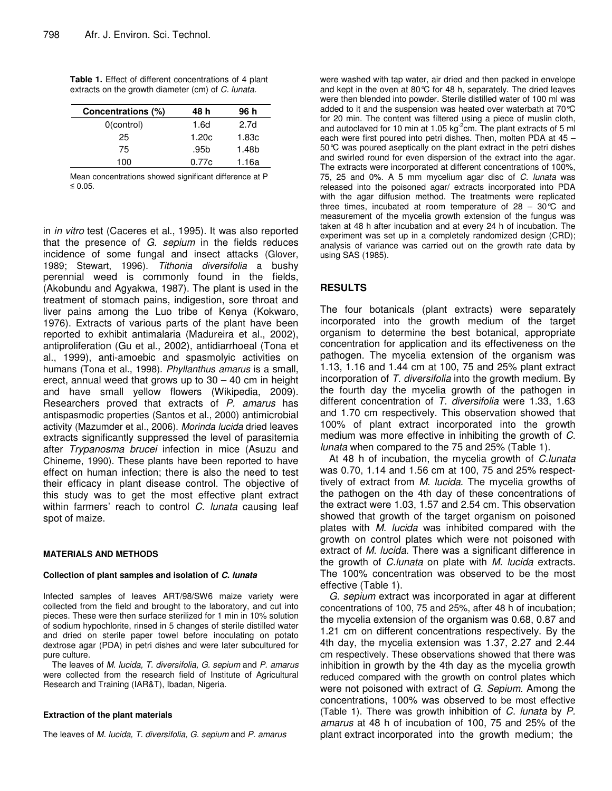| <b>Table 1.</b> Effect of different concentrations of 4 plant |  |  |
|---------------------------------------------------------------|--|--|
| extracts on the growth diameter (cm) of C. lunata.            |  |  |

| Concentrations (%) | 48 h  | 96 h  |  |
|--------------------|-------|-------|--|
| $0$ (control)      | 1.6d  | 2.7d  |  |
| 25                 | 1.20c | 1.83c |  |
| 75                 | .95b  | 1.48b |  |
| 100                | 0.77c | 1.16a |  |

Mean concentrations showed significant difference at P  $\leq 0.05$ .

in *in vitro* test (Caceres et al., 1995). It was also reported that the presence of *G. sepium* in the fields reduces incidence of some fungal and insect attacks (Glover, 1989; Stewart, 1996). *Tithonia diversifolia* a bushy perennial weed is commonly found in the fields, (Akobundu and Agyakwa, 1987). The plant is used in the treatment of stomach pains, indigestion, sore throat and liver pains among the Luo tribe of Kenya (Kokwaro, 1976). Extracts of various parts of the plant have been reported to exhibit antimalaria (Madureira et al., 2002), antiproliferation (Gu et al., 2002), antidiarrhoeal (Tona et al., 1999), anti-amoebic and spasmolyic activities on humans (Tona et al., 1998). *Phyllanthus amarus* is a small, erect, annual weed that grows up to  $30 - 40$  cm in height and have small yellow flowers (Wikipedia, 2009). Researchers proved that extracts of *P. amarus* has antispasmodic properties (Santos et al., 2000) antimicrobial activity (Mazumder et al., 2006). *Morinda lucida* dried leaves extracts significantly suppressed the level of parasitemia after *Trypanosma brucei* infection in mice (Asuzu and Chineme, 1990). These plants have been reported to have effect on human infection; there is also the need to test their efficacy in plant disease control. The objective of this study was to get the most effective plant extract within farmers' reach to control *C. lunata* causing leaf spot of maize.

#### **MATERIALS AND METHODS**

#### **Collection of plant samples and isolation of** *C. lunata*

Infected samples of leaves ART/98/SW6 maize variety were collected from the field and brought to the laboratory, and cut into pieces. These were then surface sterilized for 1 min in 10% solution of sodium hypochlorite, rinsed in 5 changes of sterile distilled water and dried on sterile paper towel before inoculating on potato dextrose agar (PDA) in petri dishes and were later subcultured for pure culture.

The leaves of *M. lucida, T. diversifolia, G. sepium* and *P. amarus* were collected from the research field of Institute of Agricultural Research and Training (IAR&T), Ibadan, Nigeria.

#### **Extraction of the plant materials**

The leaves of *M. lucida, T. diversifolia, G. sepium* and *P. amarus*

were washed with tap water, air dried and then packed in envelope and kept in the oven at 80°C for 48 h, separately. The dried leaves were then blended into powder. Sterile distilled water of 100 ml was added to it and the suspension was heated over waterbath at 70°C for 20 min. The content was filtered using a piece of muslin cloth, and autoclaved for 10 min at 1.05 kg<sup>-2</sup>cm. The plant extracts of 5 ml each were first poured into petri dishes. Then, molten PDA at 45 – 50°C was poured aseptically on the plant extract in the petri dishes and swirled round for even dispersion of the extract into the agar. The extracts were incorporated at different concentrations of 100%, 75, 25 and 0%. A 5 mm mycelium agar disc of *C. lunata* was released into the poisoned agar/ extracts incorporated into PDA with the agar diffusion method. The treatments were replicated three times, incubated at room temperature of  $28 - 30^{\circ}C$  and measurement of the mycelia growth extension of the fungus was taken at 48 h after incubation and at every 24 h of incubation. The experiment was set up in a completely randomized design (CRD); analysis of variance was carried out on the growth rate data by using SAS (1985).

### **RESULTS**

The four botanicals (plant extracts) were separately incorporated into the growth medium of the target organism to determine the best botanical, appropriate concentration for application and its effectiveness on the pathogen. The mycelia extension of the organism was 1.13, 1.16 and 1.44 cm at 100, 75 and 25% plant extract incorporation of *T. diversifolia* into the growth medium. By the fourth day the mycelia growth of the pathogen in different concentration of *T. diversifolia* were 1.33, 1.63 and 1.70 cm respectively. This observation showed that 100% of plant extract incorporated into the growth medium was more effective in inhibiting the growth of *C. lunata* when compared to the 75 and 25% (Table 1).

At 48 h of incubation, the mycelia growth of *C.lunata* was 0.70, 1.14 and 1.56 cm at 100, 75 and 25% respecttively of extract from *M. lucida*. The mycelia growths of the pathogen on the 4th day of these concentrations of the extract were 1.03, 1.57 and 2.54 cm. This observation showed that growth of the target organism on poisoned plates with *M. lucida* was inhibited compared with the growth on control plates which were not poisoned with extract of *M. lucida*. There was a significant difference in the growth of *C.lunata* on plate with *M. lucida* extracts. The 100% concentration was observed to be the most effective (Table 1).

*G. sepium* extract was incorporated in agar at different concentrations of 100, 75 and 25%, after 48 h of incubation; the mycelia extension of the organism was 0.68, 0.87 and 1.21 cm on different concentrations respectively. By the 4th day, the mycelia extension was 1.37, 2.27 and 2.44 cm respectively. These observations showed that there was inhibition in growth by the 4th day as the mycelia growth reduced compared with the growth on control plates which were not poisoned with extract of *G. Sepium*. Among the concentrations, 100% was observed to be most effective (Table 1). There was growth inhibition of *C. lunata* by *P. amarus* at 48 h of incubation of 100, 75 and 25% of the plant extract incorporated into the growth medium; the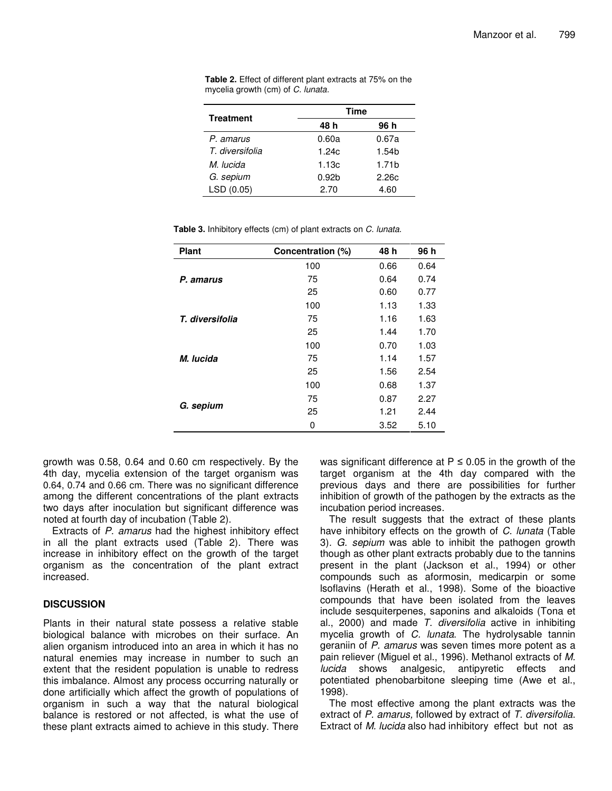| <b>Treatment</b> | Time              |                   |  |
|------------------|-------------------|-------------------|--|
|                  | 48 h              | 96 h              |  |
| P. amarus        | 0.60a             | 0.67a             |  |
| T. diversifolia  | 1.24c             | 1.54b             |  |
| M. lucida        | 1.13c             | 1.71 <sub>b</sub> |  |
| G. sepium        | 0.92 <sub>b</sub> | 2.26c             |  |
| LSD (0.05)       | 2.70              | 4.60              |  |

**Table 2.** Effect of different plant extracts at 75% on the mycelia growth (cm) of *C. lunata.*

**Table 3.** Inhibitory effects (cm) of plant extracts on *C. lunata*.

| <b>Plant</b>    | Concentration (%) | 48 h | 96 h |
|-----------------|-------------------|------|------|
|                 | 100               | 0.66 | 0.64 |
| P. amarus       | 75                | 0.64 | 0.74 |
|                 | 25                | 0.60 | 0.77 |
| T. diversifolia | 100               | 1.13 | 1.33 |
|                 | 75                | 1.16 | 1.63 |
|                 | 25                | 1.44 | 1.70 |
|                 | 100               | 0.70 | 1.03 |
| M. lucida       | 75                | 1.14 | 1.57 |
|                 | 25                | 1.56 | 2.54 |
|                 | 100               | 0.68 | 1.37 |
|                 | 75                | 0.87 | 2.27 |
| G. sepium       | 25                | 1.21 | 2.44 |
|                 | 0                 | 3.52 | 5.10 |

growth was 0.58, 0.64 and 0.60 cm respectively. By the 4th day, mycelia extension of the target organism was 0.64, 0.74 and 0.66 cm. There was no significant difference among the different concentrations of the plant extracts two days after inoculation but significant difference was noted at fourth day of incubation (Table 2).

Extracts of *P. amarus* had the highest inhibitory effect in all the plant extracts used (Table 2). There was increase in inhibitory effect on the growth of the target organism as the concentration of the plant extract increased.

## **DISCUSSION**

Plants in their natural state possess a relative stable biological balance with microbes on their surface. An alien organism introduced into an area in which it has no natural enemies may increase in number to such an extent that the resident population is unable to redress this imbalance. Almost any process occurring naturally or done artificially which affect the growth of populations of organism in such a way that the natural biological balance is restored or not affected, is what the use of these plant extracts aimed to achieve in this study. There

was significant difference at  $P \le 0.05$  in the growth of the target organism at the 4th day compared with the previous days and there are possibilities for further inhibition of growth of the pathogen by the extracts as the incubation period increases.

The result suggests that the extract of these plants have inhibitory effects on the growth of *C. lunata* (Table 3)*. G. sepium* was able to inhibit the pathogen growth though as other plant extracts probably due to the tannins present in the plant (Jackson et al., 1994) or other compounds such as aformosin, medicarpin or some lsoflavins (Herath et al., 1998). Some of the bioactive compounds that have been isolated from the leaves include sesquiterpenes, saponins and alkaloids (Tona et al., 2000) and made *T. diversifolia* active in inhibiting mycelia growth of *C. lunata*. The hydrolysable tannin geraniin of *P. amarus* was seven times more potent as a pain reliever (Miguel et al., 1996). Methanol extracts of *M. lucida* shows analgesic, antipyretic effects and potentiated phenobarbitone sleeping time (Awe et al., 1998).

The most effective among the plant extracts was the extract of *P. amarus,* followed by extract of *T. diversifolia*. Extract of *M. lucida* also had inhibitory effect but not as